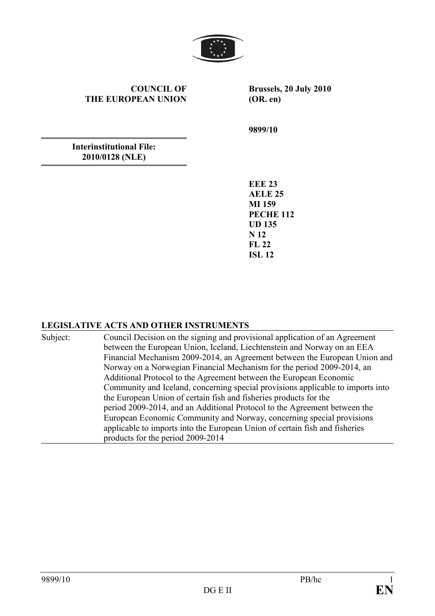

COUNCIL OF THE EUROPEAN UNION Brussels, 20 July 2010 (OR. en)

9899/10

Interinstitutional File: 2010/0128 (NLE)

> **EEE 23** AELE 25 **MI 159 PECHE 112** UD 135 N 12 FL 22 ISL 12

# LEGISLATIVE ACTS AND OTHER INSTRUMENTS

| Subject: | Council Decision on the signing and provisional application of an Agreement<br>between the European Union, Iceland, Liechtenstein and Norway on an EEA |
|----------|--------------------------------------------------------------------------------------------------------------------------------------------------------|
|          | Financial Mechanism 2009-2014, an Agreement between the European Union and                                                                             |
|          | Norway on a Norwegian Financial Mechanism for the period 2009-2014, an                                                                                 |
|          | Additional Protocol to the Agreement between the European Economic                                                                                     |
|          | Community and Iceland, concerning special provisions applicable to imports into                                                                        |
|          | the European Union of certain fish and fisheries products for the                                                                                      |
|          | period 2009-2014, and an Additional Protocol to the Agreement between the                                                                              |
|          | European Economic Community and Norway, concerning special provisions                                                                                  |
|          | applicable to imports into the European Union of certain fish and fisheries                                                                            |
|          | products for the period 2009-2014                                                                                                                      |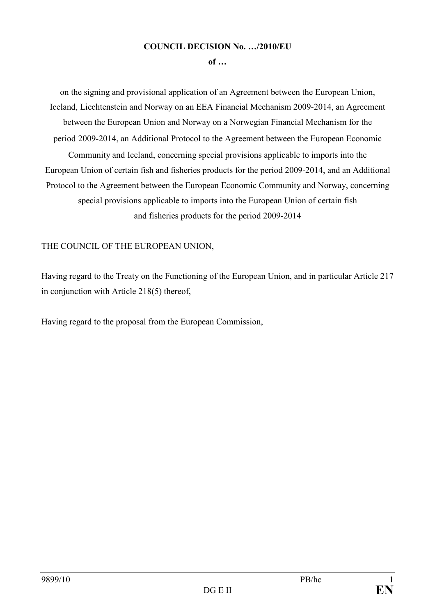### COUNCIL DECISION No. …/2010/EU

of …

on the signing and provisional application of an Agreement between the European Union, Iceland, Liechtenstein and Norway on an EEA Financial Mechanism 2009-2014, an Agreement between the European Union and Norway on a Norwegian Financial Mechanism for the period 2009-2014, an Additional Protocol to the Agreement between the European Economic Community and Iceland, concerning special provisions applicable to imports into the European Union of certain fish and fisheries products for the period 2009-2014, and an Additional Protocol to the Agreement between the European Economic Community and Norway, concerning special provisions applicable to imports into the European Union of certain fish and fisheries products for the period 2009-2014

# THE COUNCIL OF THE EUROPEAN UNION,

Having regard to the Treaty on the Functioning of the European Union, and in particular Article 217 in conjunction with Article 218(5) thereof,

Having regard to the proposal from the European Commission,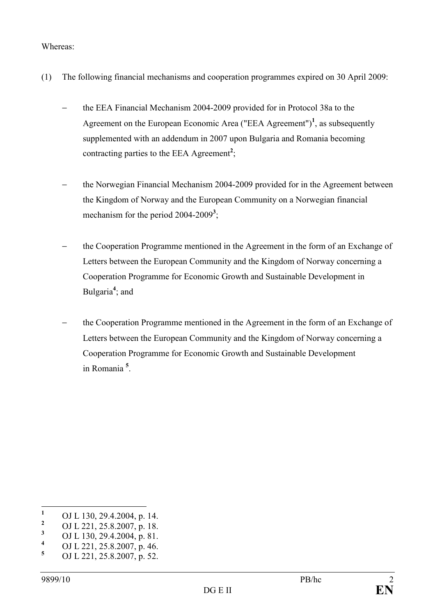### Whereas:

- (1) The following financial mechanisms and cooperation programmes expired on 30 April 2009:
	- the EEA Financial Mechanism 2004-2009 provided for in Protocol 38a to the Agreement on the European Economic Area ("EEA Agreement")<sup>1</sup>, as subsequently supplemented with an addendum in 2007 upon Bulgaria and Romania becoming contracting parties to the EEA Agreement<sup>2</sup>;
	- the Norwegian Financial Mechanism 2004-2009 provided for in the Agreement between the Kingdom of Norway and the European Community on a Norwegian financial mechanism for the period  $2004-2009^3$ ;
	- the Cooperation Programme mentioned in the Agreement in the form of an Exchange of Letters between the European Community and the Kingdom of Norway concerning a Cooperation Programme for Economic Growth and Sustainable Development in Bulgaria<sup>4</sup>; and
	- the Cooperation Programme mentioned in the Agreement in the form of an Exchange of Letters between the European Community and the Kingdom of Norway concerning a Cooperation Programme for Economic Growth and Sustainable Development in Romania <sup>5</sup> .

 $\frac{1}{1}$ OJ L 130, 29.4.2004, p. 14.

<sup>2</sup> OJ L 221, 25.8.2007, p. 18. 3

OJ L 130, 29.4.2004, p. 81. 4

OJ L 221, 25.8.2007, p. 46.

<sup>5</sup> OJ L 221, 25.8.2007, p. 52.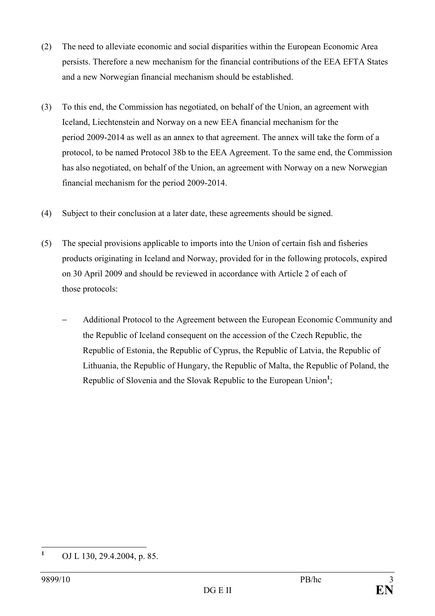- (2) The need to alleviate economic and social disparities within the European Economic Area persists. Therefore a new mechanism for the financial contributions of the EEA EFTA States and a new Norwegian financial mechanism should be established.
- (3) To this end, the Commission has negotiated, on behalf of the Union, an agreement with Iceland, Liechtenstein and Norway on a new EEA financial mechanism for the period 2009-2014 as well as an annex to that agreement. The annex will take the form of a protocol, to be named Protocol 38b to the EEA Agreement. To the same end, the Commission has also negotiated, on behalf of the Union, an agreement with Norway on a new Norwegian financial mechanism for the period 2009-2014.
- (4) Subject to their conclusion at a later date, these agreements should be signed.
- (5) The special provisions applicable to imports into the Union of certain fish and fisheries products originating in Iceland and Norway, provided for in the following protocols, expired on 30 April 2009 and should be reviewed in accordance with Article 2 of each of those protocols:
	- − Additional Protocol to the Agreement between the European Economic Community and the Republic of Iceland consequent on the accession of the Czech Republic, the Republic of Estonia, the Republic of Cyprus, the Republic of Latvia, the Republic of Lithuania, the Republic of Hungary, the Republic of Malta, the Republic of Poland, the Republic of Slovenia and the Slovak Republic to the European Union<sup>1</sup>;

 $\frac{1}{1}$ OJ L 130, 29.4.2004, p. 85.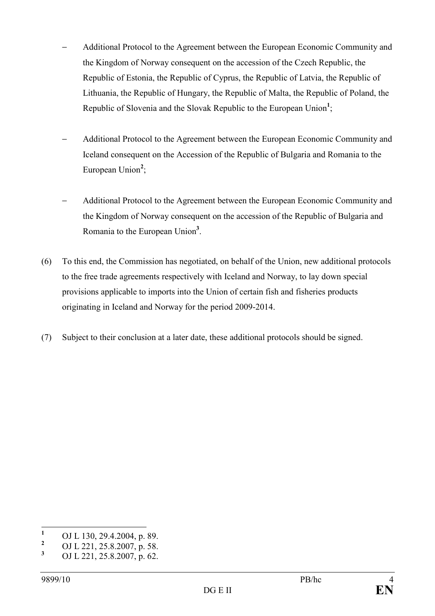- − Additional Protocol to the Agreement between the European Economic Community and the Kingdom of Norway consequent on the accession of the Czech Republic, the Republic of Estonia, the Republic of Cyprus, the Republic of Latvia, the Republic of Lithuania, the Republic of Hungary, the Republic of Malta, the Republic of Poland, the Republic of Slovenia and the Slovak Republic to the European Union<sup>1</sup>;
- − Additional Protocol to the Agreement between the European Economic Community and Iceland consequent on the Accession of the Republic of Bulgaria and Romania to the European Union<sup>2</sup>;
- − Additional Protocol to the Agreement between the European Economic Community and the Kingdom of Norway consequent on the accession of the Republic of Bulgaria and Romania to the European Union<sup>3</sup>.
- (6) To this end, the Commission has negotiated, on behalf of the Union, new additional protocols to the free trade agreements respectively with Iceland and Norway, to lay down special provisions applicable to imports into the Union of certain fish and fisheries products originating in Iceland and Norway for the period 2009-2014.
- (7) Subject to their conclusion at a later date, these additional protocols should be signed.

 $\mathbf{1}$ <sup>1</sup>OJ L 130, 29.4.2004, p. 89.

<sup>2</sup> OJ L 221, 25.8.2007, p. 58.

<sup>3</sup> OJ L 221, 25.8.2007, p. 62.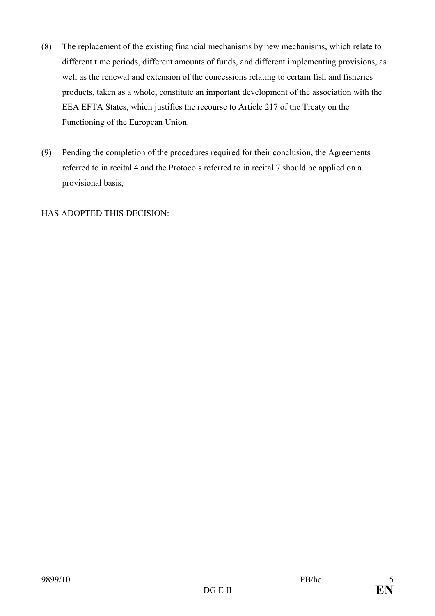- (8) The replacement of the existing financial mechanisms by new mechanisms, which relate to different time periods, different amounts of funds, and different implementing provisions, as well as the renewal and extension of the concessions relating to certain fish and fisheries products, taken as a whole, constitute an important development of the association with the EEA EFTA States, which justifies the recourse to Article 217 of the Treaty on the Functioning of the European Union.
- (9) Pending the completion of the procedures required for their conclusion, the Agreements referred to in recital 4 and the Protocols referred to in recital 7 should be applied on a provisional basis,

HAS ADOPTED THIS DECISION: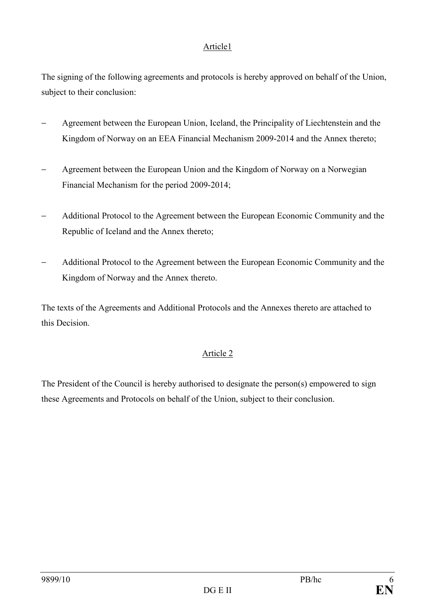# Article1

The signing of the following agreements and protocols is hereby approved on behalf of the Union, subject to their conclusion:

- − Agreement between the European Union, Iceland, the Principality of Liechtenstein and the Kingdom of Norway on an EEA Financial Mechanism 2009-2014 and the Annex thereto;
- − Agreement between the European Union and the Kingdom of Norway on a Norwegian Financial Mechanism for the period 2009-2014;
- − Additional Protocol to the Agreement between the European Economic Community and the Republic of Iceland and the Annex thereto;
- − Additional Protocol to the Agreement between the European Economic Community and the Kingdom of Norway and the Annex thereto.

The texts of the Agreements and Additional Protocols and the Annexes thereto are attached to this Decision.

# Article 2

The President of the Council is hereby authorised to designate the person(s) empowered to sign these Agreements and Protocols on behalf of the Union, subject to their conclusion.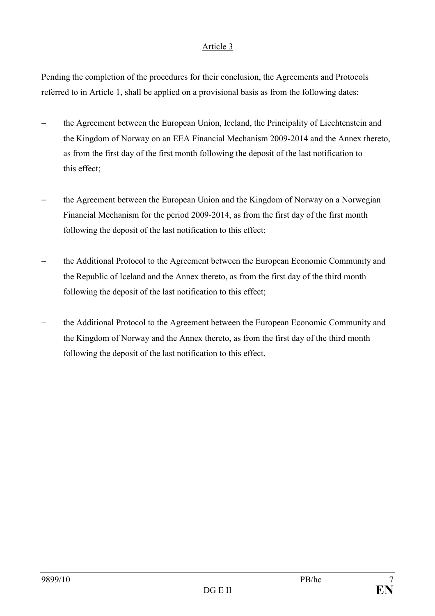# Article 3

Pending the completion of the procedures for their conclusion, the Agreements and Protocols referred to in Article 1, shall be applied on a provisional basis as from the following dates:

- − the Agreement between the European Union, Iceland, the Principality of Liechtenstein and the Kingdom of Norway on an EEA Financial Mechanism 2009-2014 and the Annex thereto, as from the first day of the first month following the deposit of the last notification to this effect;
- the Agreement between the European Union and the Kingdom of Norway on a Norwegian Financial Mechanism for the period 2009-2014, as from the first day of the first month following the deposit of the last notification to this effect;
- − the Additional Protocol to the Agreement between the European Economic Community and the Republic of Iceland and the Annex thereto, as from the first day of the third month following the deposit of the last notification to this effect;
- the Additional Protocol to the Agreement between the European Economic Community and the Kingdom of Norway and the Annex thereto, as from the first day of the third month following the deposit of the last notification to this effect.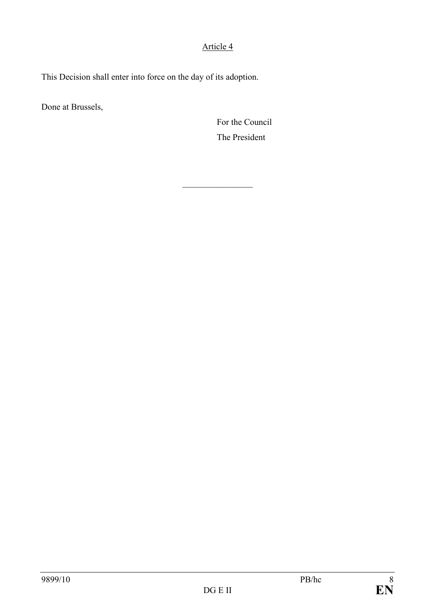# Article 4

 $\frac{1}{2}$  ,  $\frac{1}{2}$  ,  $\frac{1}{2}$  ,  $\frac{1}{2}$  ,  $\frac{1}{2}$  ,  $\frac{1}{2}$  ,  $\frac{1}{2}$ 

This Decision shall enter into force on the day of its adoption.

Done at Brussels,

For the Council The President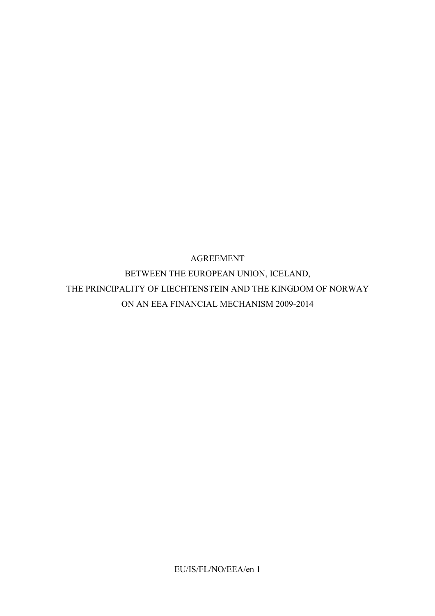AGREEMENT BETWEEN THE EUROPEAN UNION, ICELAND, THE PRINCIPALITY OF LIECHTENSTEIN AND THE KINGDOM OF NORWAY ON AN EEA FINANCIAL MECHANISM 2009-2014

EU/IS/FL/NO/EEA/en 1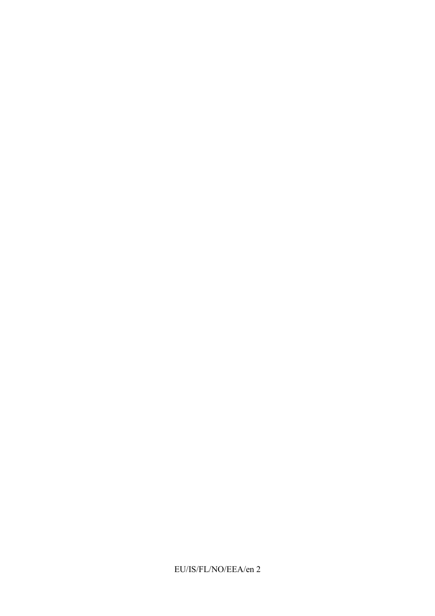EU/IS/FL/NO/EEA/en 2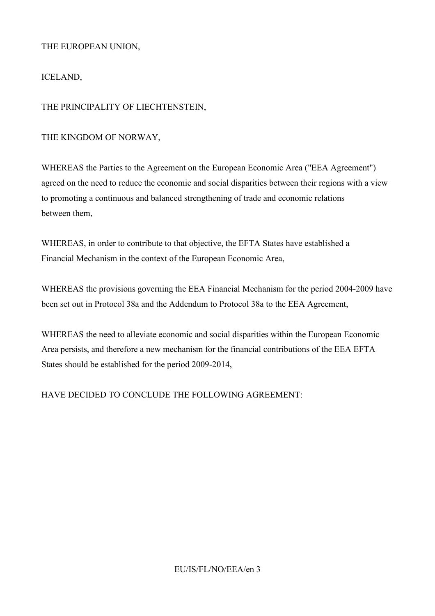# THE EUROPEAN UNION,

# ICELAND,

THE PRINCIPALITY OF LIECHTENSTEIN,

THE KINGDOM OF NORWAY,

WHEREAS the Parties to the Agreement on the European Economic Area ("EEA Agreement") agreed on the need to reduce the economic and social disparities between their regions with a view to promoting a continuous and balanced strengthening of trade and economic relations between them,

WHEREAS, in order to contribute to that objective, the EFTA States have established a Financial Mechanism in the context of the European Economic Area,

WHEREAS the provisions governing the EEA Financial Mechanism for the period 2004-2009 have been set out in Protocol 38a and the Addendum to Protocol 38a to the EEA Agreement,

WHEREAS the need to alleviate economic and social disparities within the European Economic Area persists, and therefore a new mechanism for the financial contributions of the EEA EFTA States should be established for the period 2009-2014,

HAVE DECIDED TO CONCLUDE THE FOLLOWING AGREEMENT: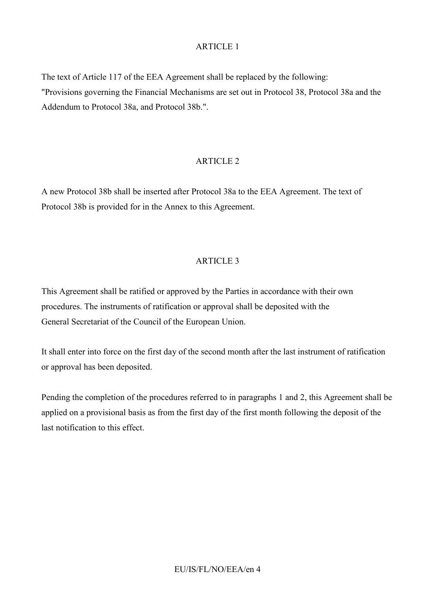The text of Article 117 of the EEA Agreement shall be replaced by the following: "Provisions governing the Financial Mechanisms are set out in Protocol 38, Protocol 38a and the Addendum to Protocol 38a, and Protocol 38b.".

# ARTICLE 2

A new Protocol 38b shall be inserted after Protocol 38a to the EEA Agreement. The text of Protocol 38b is provided for in the Annex to this Agreement.

# ARTICLE 3

This Agreement shall be ratified or approved by the Parties in accordance with their own procedures. The instruments of ratification or approval shall be deposited with the General Secretariat of the Council of the European Union.

It shall enter into force on the first day of the second month after the last instrument of ratification or approval has been deposited.

Pending the completion of the procedures referred to in paragraphs 1 and 2, this Agreement shall be applied on a provisional basis as from the first day of the first month following the deposit of the last notification to this effect.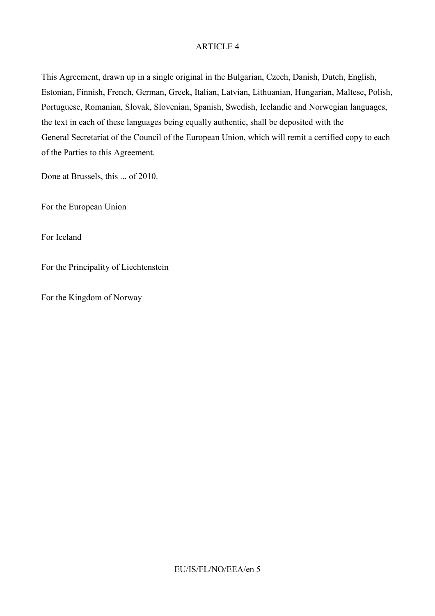This Agreement, drawn up in a single original in the Bulgarian, Czech, Danish, Dutch, English, Estonian, Finnish, French, German, Greek, Italian, Latvian, Lithuanian, Hungarian, Maltese, Polish, Portuguese, Romanian, Slovak, Slovenian, Spanish, Swedish, Icelandic and Norwegian languages, the text in each of these languages being equally authentic, shall be deposited with the General Secretariat of the Council of the European Union, which will remit a certified copy to each of the Parties to this Agreement.

Done at Brussels, this ... of 2010.

For the European Union

For Iceland

For the Principality of Liechtenstein

For the Kingdom of Norway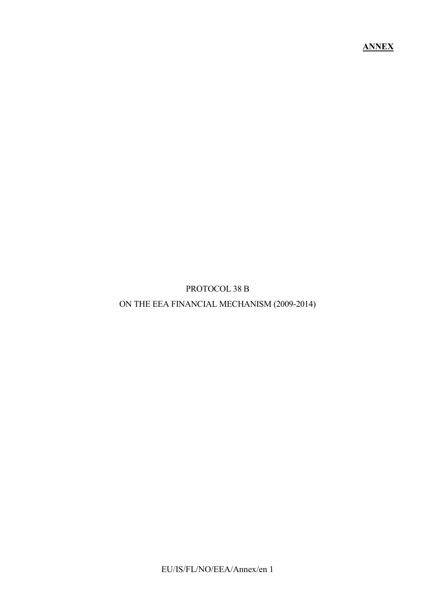ANNEX

PROTOCOL 38 B ON THE EEA FINANCIAL MECHANISM (2009-2014)

EU/IS/FL/NO/EEA/Annex/en 1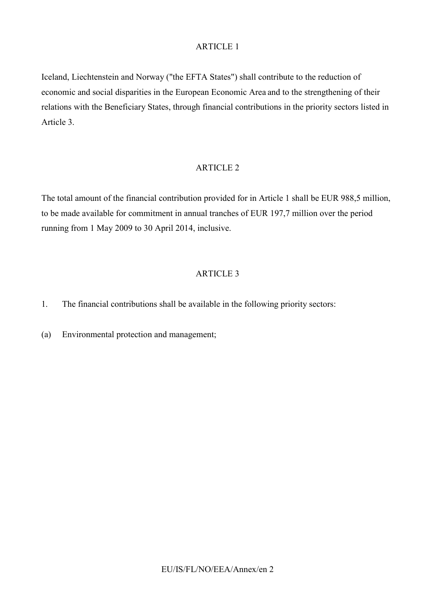Iceland, Liechtenstein and Norway ("the EFTA States") shall contribute to the reduction of economic and social disparities in the European Economic Area and to the strengthening of their relations with the Beneficiary States, through financial contributions in the priority sectors listed in Article 3.

# ARTICLE 2

The total amount of the financial contribution provided for in Article 1 shall be EUR 988,5 million, to be made available for commitment in annual tranches of EUR 197,7 million over the period running from 1 May 2009 to 30 April 2014, inclusive.

# ARTICLE 3

- 1. The financial contributions shall be available in the following priority sectors:
- (a) Environmental protection and management;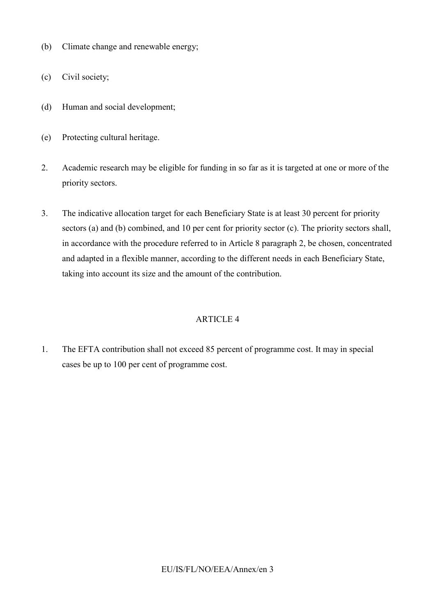- (b) Climate change and renewable energy;
- (c) Civil society;
- (d) Human and social development;
- (e) Protecting cultural heritage.
- 2. Academic research may be eligible for funding in so far as it is targeted at one or more of the priority sectors.
- 3. The indicative allocation target for each Beneficiary State is at least 30 percent for priority sectors (a) and (b) combined, and 10 per cent for priority sector (c). The priority sectors shall, in accordance with the procedure referred to in Article 8 paragraph 2, be chosen, concentrated and adapted in a flexible manner, according to the different needs in each Beneficiary State, taking into account its size and the amount of the contribution.

1. The EFTA contribution shall not exceed 85 percent of programme cost. It may in special cases be up to 100 per cent of programme cost.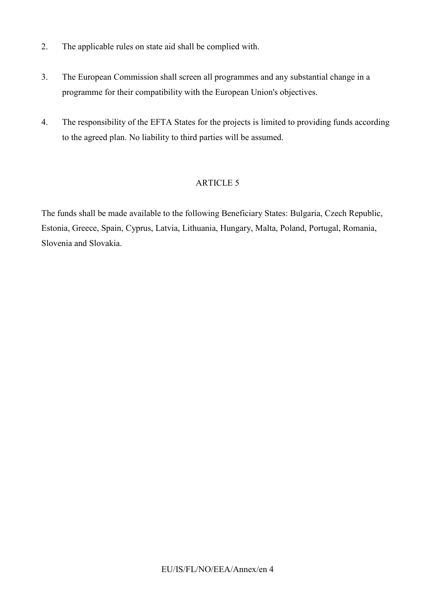- 2. The applicable rules on state aid shall be complied with.
- 3. The European Commission shall screen all programmes and any substantial change in a programme for their compatibility with the European Union's objectives.
- 4. The responsibility of the EFTA States for the projects is limited to providing funds according to the agreed plan. No liability to third parties will be assumed.

The funds shall be made available to the following Beneficiary States: Bulgaria, Czech Republic, Estonia, Greece, Spain, Cyprus, Latvia, Lithuania, Hungary, Malta, Poland, Portugal, Romania, Slovenia and Slovakia.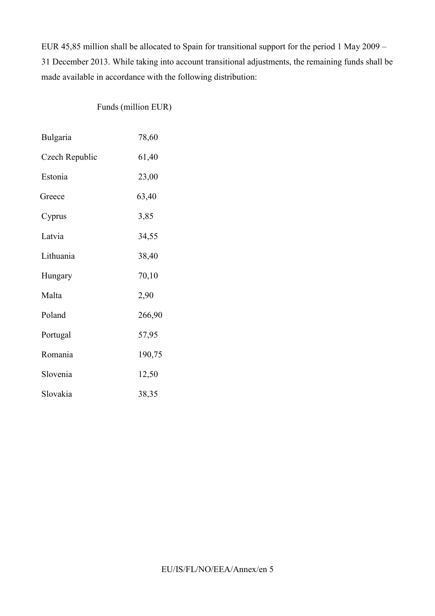EUR 45,85 million shall be allocated to Spain for transitional support for the period 1 May 2009 – 31 December 2013. While taking into account transitional adjustments, the remaining funds shall be made available in accordance with the following distribution:

Funds (million EUR)

| Bulgaria       | 78,60  |
|----------------|--------|
| Czech Republic | 61,40  |
| Estonia        | 23,00  |
| Greece         | 63,40  |
| Cyprus         | 3,85   |
| Latvia         | 34,55  |
| Lithuania      | 38,40  |
| Hungary        | 70,10  |
| Malta          | 2,90   |
| Poland         | 266,90 |
| Portugal       | 57,95  |
| Romania        | 190,75 |
| Slovenia       | 12,50  |
| Slovakia       | 38,35  |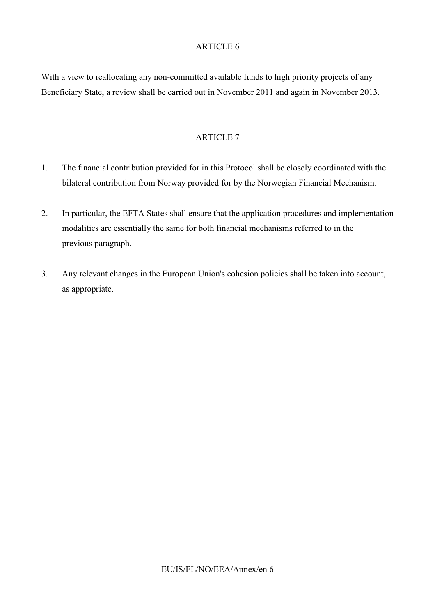With a view to reallocating any non-committed available funds to high priority projects of any Beneficiary State, a review shall be carried out in November 2011 and again in November 2013.

# ARTICLE 7

- 1. The financial contribution provided for in this Protocol shall be closely coordinated with the bilateral contribution from Norway provided for by the Norwegian Financial Mechanism.
- 2. In particular, the EFTA States shall ensure that the application procedures and implementation modalities are essentially the same for both financial mechanisms referred to in the previous paragraph.
- 3. Any relevant changes in the European Union's cohesion policies shall be taken into account, as appropriate.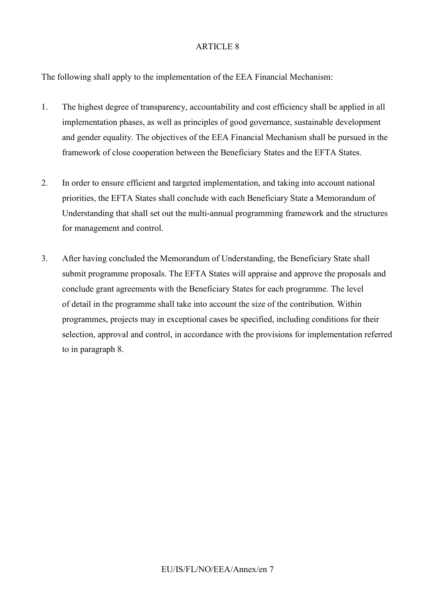The following shall apply to the implementation of the EEA Financial Mechanism:

- 1. The highest degree of transparency, accountability and cost efficiency shall be applied in all implementation phases, as well as principles of good governance, sustainable development and gender equality. The objectives of the EEA Financial Mechanism shall be pursued in the framework of close cooperation between the Beneficiary States and the EFTA States.
- 2. In order to ensure efficient and targeted implementation, and taking into account national priorities, the EFTA States shall conclude with each Beneficiary State a Memorandum of Understanding that shall set out the multi-annual programming framework and the structures for management and control.
- 3. After having concluded the Memorandum of Understanding, the Beneficiary State shall submit programme proposals. The EFTA States will appraise and approve the proposals and conclude grant agreements with the Beneficiary States for each programme. The level of detail in the programme shall take into account the size of the contribution. Within programmes, projects may in exceptional cases be specified, including conditions for their selection, approval and control, in accordance with the provisions for implementation referred to in paragraph 8.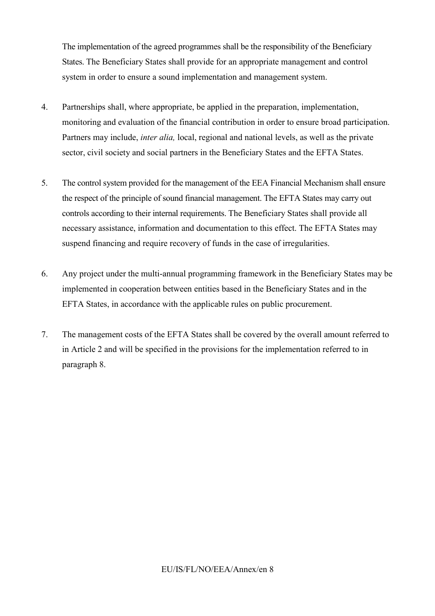The implementation of the agreed programmes shall be the responsibility of the Beneficiary States. The Beneficiary States shall provide for an appropriate management and control system in order to ensure a sound implementation and management system.

- 4. Partnerships shall, where appropriate, be applied in the preparation, implementation, monitoring and evaluation of the financial contribution in order to ensure broad participation. Partners may include, *inter alia*, local, regional and national levels, as well as the private sector, civil society and social partners in the Beneficiary States and the EFTA States.
- 5. The control system provided for the management of the EEA Financial Mechanism shall ensure the respect of the principle of sound financial management. The EFTA States may carry out controls according to their internal requirements. The Beneficiary States shall provide all necessary assistance, information and documentation to this effect. The EFTA States may suspend financing and require recovery of funds in the case of irregularities.
- 6. Any project under the multi-annual programming framework in the Beneficiary States may be implemented in cooperation between entities based in the Beneficiary States and in the EFTA States, in accordance with the applicable rules on public procurement.
- 7. The management costs of the EFTA States shall be covered by the overall amount referred to in Article 2 and will be specified in the provisions for the implementation referred to in paragraph 8.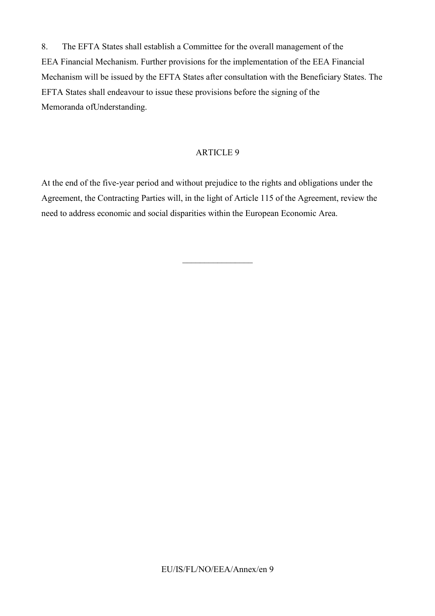8. The EFTA States shall establish a Committee for the overall management of the EEA Financial Mechanism. Further provisions for the implementation of the EEA Financial Mechanism will be issued by the EFTA States after consultation with the Beneficiary States. The EFTA States shall endeavour to issue these provisions before the signing of the Memoranda ofUnderstanding.

# ARTICLE 9

At the end of the five-year period and without prejudice to the rights and obligations under the Agreement, the Contracting Parties will, in the light of Article 115 of the Agreement, review the need to address economic and social disparities within the European Economic Area.

 $\frac{1}{2}$  ,  $\frac{1}{2}$  ,  $\frac{1}{2}$  ,  $\frac{1}{2}$  ,  $\frac{1}{2}$  ,  $\frac{1}{2}$  ,  $\frac{1}{2}$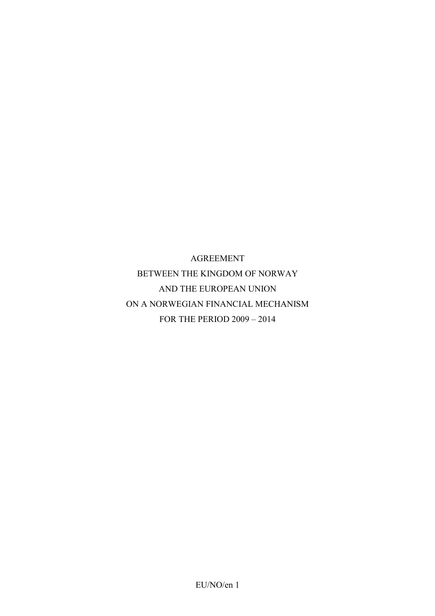AGREEMENT BETWEEN THE KINGDOM OF NORWAY AND THE EUROPEAN UNION ON A NORWEGIAN FINANCIAL MECHANISM FOR THE PERIOD 2009 – 2014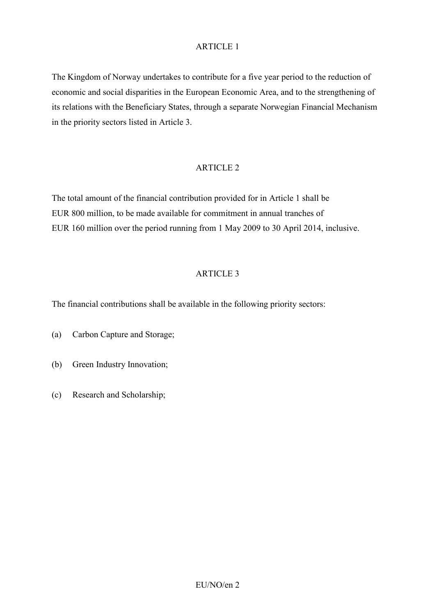The Kingdom of Norway undertakes to contribute for a five year period to the reduction of economic and social disparities in the European Economic Area, and to the strengthening of its relations with the Beneficiary States, through a separate Norwegian Financial Mechanism in the priority sectors listed in Article 3.

# ARTICLE 2

The total amount of the financial contribution provided for in Article 1 shall be EUR 800 million, to be made available for commitment in annual tranches of EUR 160 million over the period running from 1 May 2009 to 30 April 2014, inclusive.

# ARTICLE 3

The financial contributions shall be available in the following priority sectors:

- (a) Carbon Capture and Storage;
- (b) Green Industry Innovation;
- (c) Research and Scholarship;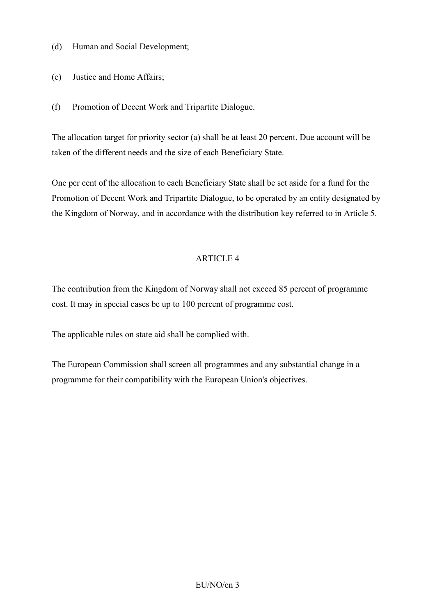- (d) Human and Social Development;
- (e) Justice and Home Affairs;
- (f) Promotion of Decent Work and Tripartite Dialogue.

The allocation target for priority sector (a) shall be at least 20 percent. Due account will be taken of the different needs and the size of each Beneficiary State.

One per cent of the allocation to each Beneficiary State shall be set aside for a fund for the Promotion of Decent Work and Tripartite Dialogue, to be operated by an entity designated by the Kingdom of Norway, and in accordance with the distribution key referred to in Article 5.

#### ARTICLE 4

The contribution from the Kingdom of Norway shall not exceed 85 percent of programme cost. It may in special cases be up to 100 percent of programme cost.

The applicable rules on state aid shall be complied with.

The European Commission shall screen all programmes and any substantial change in a programme for their compatibility with the European Union's objectives.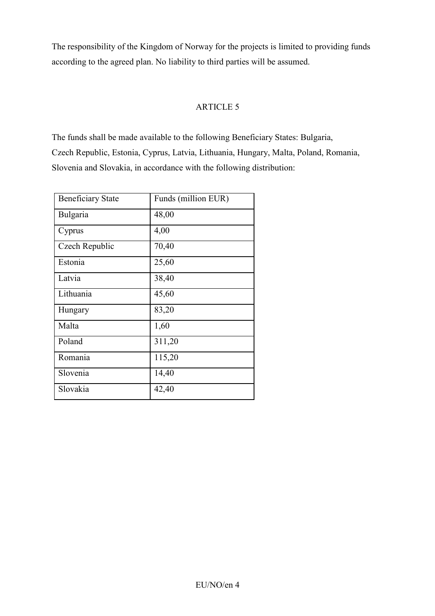The responsibility of the Kingdom of Norway for the projects is limited to providing funds according to the agreed plan. No liability to third parties will be assumed.

# ARTICLE 5

The funds shall be made available to the following Beneficiary States: Bulgaria, Czech Republic, Estonia, Cyprus, Latvia, Lithuania, Hungary, Malta, Poland, Romania, Slovenia and Slovakia, in accordance with the following distribution:

| <b>Beneficiary State</b> | Funds (million EUR) |
|--------------------------|---------------------|
| <b>Bulgaria</b>          | 48,00               |
| Cyprus                   | 4,00                |
| Czech Republic           | 70,40               |
| Estonia                  | 25,60               |
| Latvia                   | 38,40               |
| Lithuania                | 45,60               |
| Hungary                  | 83,20               |
| Malta                    | 1,60                |
| Poland                   | 311,20              |
| Romania                  | 115,20              |
| Slovenia                 | 14,40               |
| Slovakia                 | 42,40               |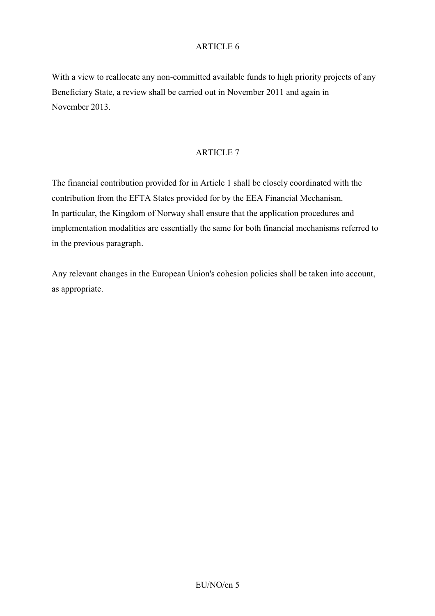With a view to reallocate any non-committed available funds to high priority projects of any Beneficiary State, a review shall be carried out in November 2011 and again in November 2013.

# ARTICLE 7

The financial contribution provided for in Article 1 shall be closely coordinated with the contribution from the EFTA States provided for by the EEA Financial Mechanism. In particular, the Kingdom of Norway shall ensure that the application procedures and implementation modalities are essentially the same for both financial mechanisms referred to in the previous paragraph.

Any relevant changes in the European Union's cohesion policies shall be taken into account, as appropriate.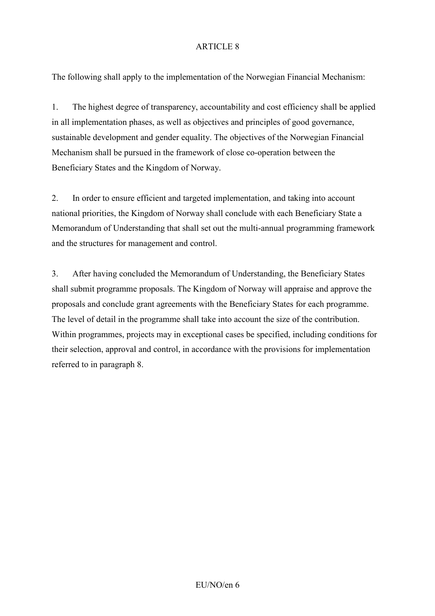The following shall apply to the implementation of the Norwegian Financial Mechanism:

1. The highest degree of transparency, accountability and cost efficiency shall be applied in all implementation phases, as well as objectives and principles of good governance, sustainable development and gender equality. The objectives of the Norwegian Financial Mechanism shall be pursued in the framework of close co-operation between the Beneficiary States and the Kingdom of Norway.

2. In order to ensure efficient and targeted implementation, and taking into account national priorities, the Kingdom of Norway shall conclude with each Beneficiary State a Memorandum of Understanding that shall set out the multi-annual programming framework and the structures for management and control.

3. After having concluded the Memorandum of Understanding, the Beneficiary States shall submit programme proposals. The Kingdom of Norway will appraise and approve the proposals and conclude grant agreements with the Beneficiary States for each programme. The level of detail in the programme shall take into account the size of the contribution. Within programmes, projects may in exceptional cases be specified, including conditions for their selection, approval and control, in accordance with the provisions for implementation referred to in paragraph 8.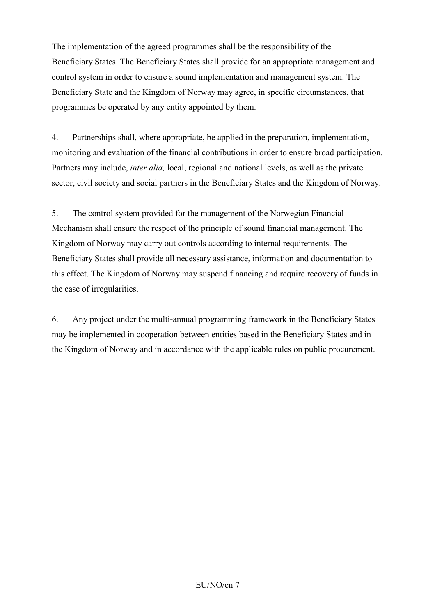The implementation of the agreed programmes shall be the responsibility of the Beneficiary States. The Beneficiary States shall provide for an appropriate management and control system in order to ensure a sound implementation and management system. The Beneficiary State and the Kingdom of Norway may agree, in specific circumstances, that programmes be operated by any entity appointed by them.

4. Partnerships shall, where appropriate, be applied in the preparation, implementation, monitoring and evaluation of the financial contributions in order to ensure broad participation. Partners may include, inter alia, local, regional and national levels, as well as the private sector, civil society and social partners in the Beneficiary States and the Kingdom of Norway.

5. The control system provided for the management of the Norwegian Financial Mechanism shall ensure the respect of the principle of sound financial management. The Kingdom of Norway may carry out controls according to internal requirements. The Beneficiary States shall provide all necessary assistance, information and documentation to this effect. The Kingdom of Norway may suspend financing and require recovery of funds in the case of irregularities.

6. Any project under the multi-annual programming framework in the Beneficiary States may be implemented in cooperation between entities based in the Beneficiary States and in the Kingdom of Norway and in accordance with the applicable rules on public procurement.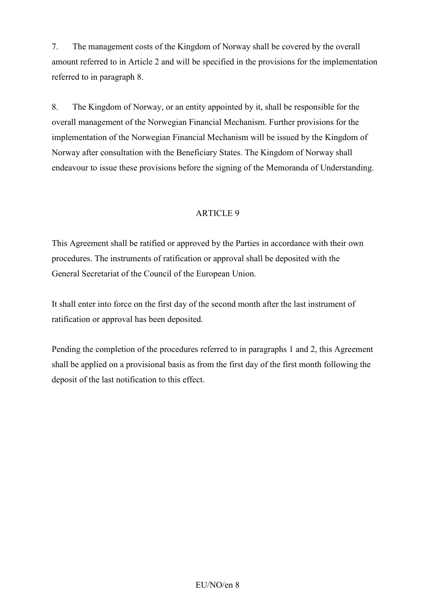7. The management costs of the Kingdom of Norway shall be covered by the overall amount referred to in Article 2 and will be specified in the provisions for the implementation referred to in paragraph 8.

8. The Kingdom of Norway, or an entity appointed by it, shall be responsible for the overall management of the Norwegian Financial Mechanism. Further provisions for the implementation of the Norwegian Financial Mechanism will be issued by the Kingdom of Norway after consultation with the Beneficiary States. The Kingdom of Norway shall endeavour to issue these provisions before the signing of the Memoranda of Understanding.

# ARTICLE 9

This Agreement shall be ratified or approved by the Parties in accordance with their own procedures. The instruments of ratification or approval shall be deposited with the General Secretariat of the Council of the European Union.

It shall enter into force on the first day of the second month after the last instrument of ratification or approval has been deposited.

Pending the completion of the procedures referred to in paragraphs 1 and 2, this Agreement shall be applied on a provisional basis as from the first day of the first month following the deposit of the last notification to this effect.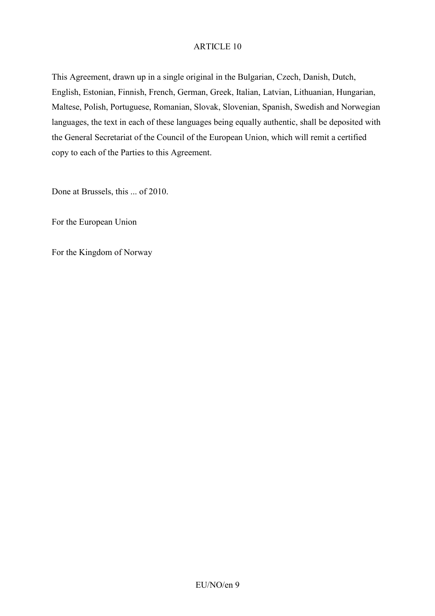This Agreement, drawn up in a single original in the Bulgarian, Czech, Danish, Dutch, English, Estonian, Finnish, French, German, Greek, Italian, Latvian, Lithuanian, Hungarian, Maltese, Polish, Portuguese, Romanian, Slovak, Slovenian, Spanish, Swedish and Norwegian languages, the text in each of these languages being equally authentic, shall be deposited with the General Secretariat of the Council of the European Union, which will remit a certified copy to each of the Parties to this Agreement.

Done at Brussels, this ... of 2010.

For the European Union

For the Kingdom of Norway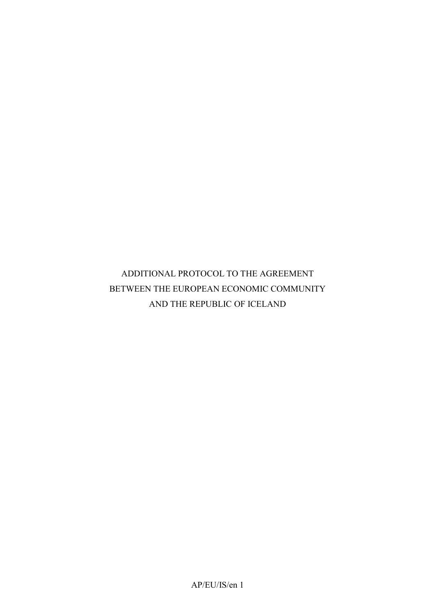ADDITIONAL PROTOCOL TO THE AGREEMENT BETWEEN THE EUROPEAN ECONOMIC COMMUNITY AND THE REPUBLIC OF ICELAND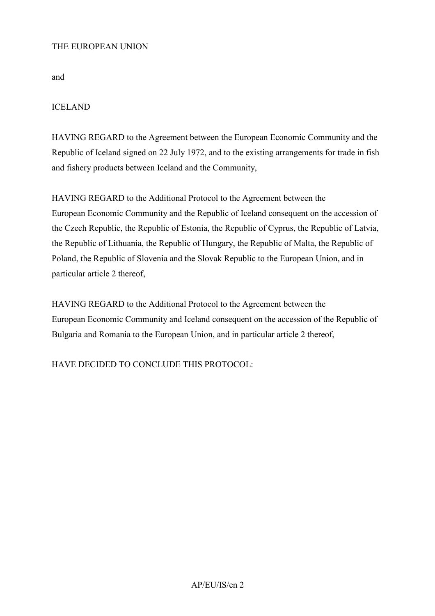## THE EUROPEAN UNION

and

# ICELAND

HAVING REGARD to the Agreement between the European Economic Community and the Republic of Iceland signed on 22 July 1972, and to the existing arrangements for trade in fish and fishery products between Iceland and the Community,

HAVING REGARD to the Additional Protocol to the Agreement between the European Economic Community and the Republic of Iceland consequent on the accession of the Czech Republic, the Republic of Estonia, the Republic of Cyprus, the Republic of Latvia, the Republic of Lithuania, the Republic of Hungary, the Republic of Malta, the Republic of Poland, the Republic of Slovenia and the Slovak Republic to the European Union, and in particular article 2 thereof,

HAVING REGARD to the Additional Protocol to the Agreement between the European Economic Community and Iceland consequent on the accession of the Republic of Bulgaria and Romania to the European Union, and in particular article 2 thereof,

HAVE DECIDED TO CONCLUDE THIS PROTOCOL: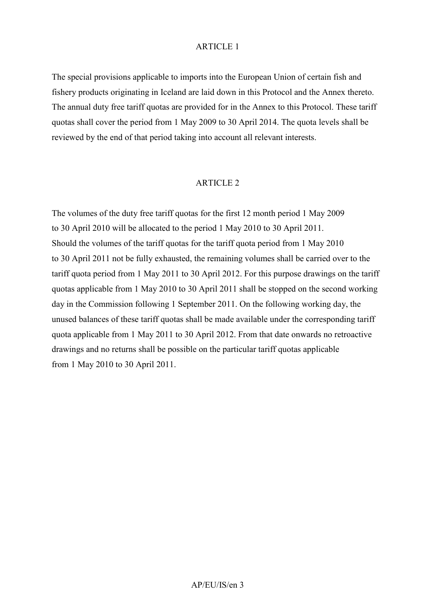The special provisions applicable to imports into the European Union of certain fish and fishery products originating in Iceland are laid down in this Protocol and the Annex thereto. The annual duty free tariff quotas are provided for in the Annex to this Protocol. These tariff quotas shall cover the period from 1 May 2009 to 30 April 2014. The quota levels shall be reviewed by the end of that period taking into account all relevant interests.

#### ARTICLE 2

The volumes of the duty free tariff quotas for the first 12 month period 1 May 2009 to 30 April 2010 will be allocated to the period 1 May 2010 to 30 April 2011. Should the volumes of the tariff quotas for the tariff quota period from 1 May 2010 to 30 April 2011 not be fully exhausted, the remaining volumes shall be carried over to the tariff quota period from 1 May 2011 to 30 April 2012. For this purpose drawings on the tariff quotas applicable from 1 May 2010 to 30 April 2011 shall be stopped on the second working day in the Commission following 1 September 2011. On the following working day, the unused balances of these tariff quotas shall be made available under the corresponding tariff quota applicable from 1 May 2011 to 30 April 2012. From that date onwards no retroactive drawings and no returns shall be possible on the particular tariff quotas applicable from 1 May 2010 to 30 April 2011.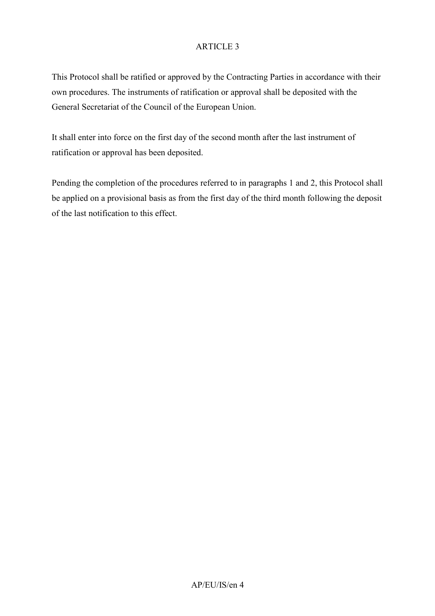This Protocol shall be ratified or approved by the Contracting Parties in accordance with their own procedures. The instruments of ratification or approval shall be deposited with the General Secretariat of the Council of the European Union.

It shall enter into force on the first day of the second month after the last instrument of ratification or approval has been deposited.

Pending the completion of the procedures referred to in paragraphs 1 and 2, this Protocol shall be applied on a provisional basis as from the first day of the third month following the deposit of the last notification to this effect.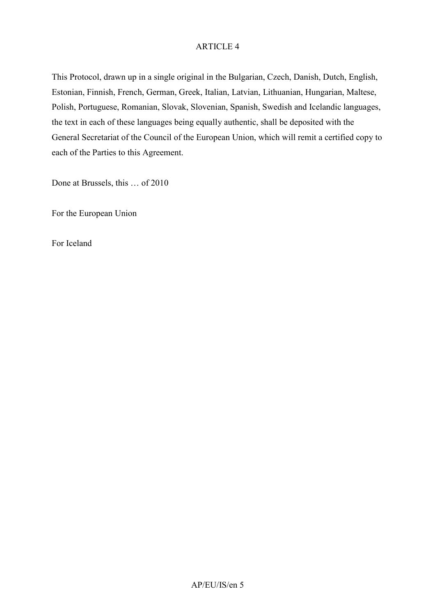This Protocol, drawn up in a single original in the Bulgarian, Czech, Danish, Dutch, English, Estonian, Finnish, French, German, Greek, Italian, Latvian, Lithuanian, Hungarian, Maltese, Polish, Portuguese, Romanian, Slovak, Slovenian, Spanish, Swedish and Icelandic languages, the text in each of these languages being equally authentic, shall be deposited with the General Secretariat of the Council of the European Union, which will remit a certified copy to each of the Parties to this Agreement.

Done at Brussels, this … of 2010

For the European Union

For Iceland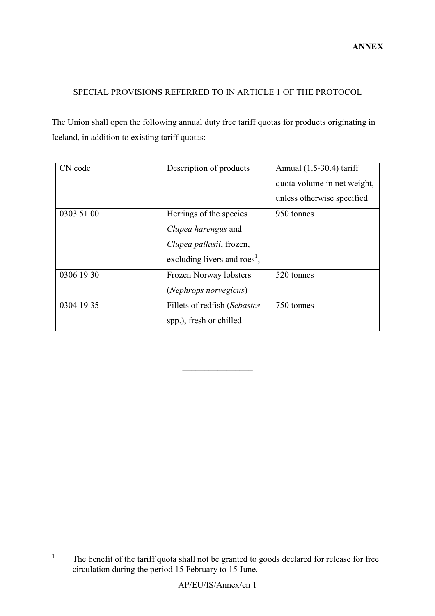# SPECIAL PROVISIONS REFERRED TO IN ARTICLE 1 OF THE PROTOCOL

The Union shall open the following annual duty free tariff quotas for products originating in Iceland, in addition to existing tariff quotas:

| CN code    | Description of products                                                                                                       | Annual $(1.5-30.4)$ tariff<br>quota volume in net weight,<br>unless otherwise specified |
|------------|-------------------------------------------------------------------------------------------------------------------------------|-----------------------------------------------------------------------------------------|
| 0303 51 00 | Herrings of the species<br><i>Clupea harengus</i> and<br>Clupea pallasii, frozen,<br>excluding livers and roes <sup>1</sup> , | 950 tonnes                                                                              |
| 0306 19 30 | Frozen Norway lobsters<br>(Nephrops norvegicus)                                                                               | 520 tonnes                                                                              |
| 0304 19 35 | Fillets of redfish (Sebastes<br>spp.), fresh or chilled                                                                       | 750 tonnes                                                                              |

 $\frac{1}{2}$  ,  $\frac{1}{2}$  ,  $\frac{1}{2}$  ,  $\frac{1}{2}$  ,  $\frac{1}{2}$  ,  $\frac{1}{2}$  ,  $\frac{1}{2}$ 

 $\frac{1}{1}$  The benefit of the tariff quota shall not be granted to goods declared for release for free circulation during the period 15 February to 15 June.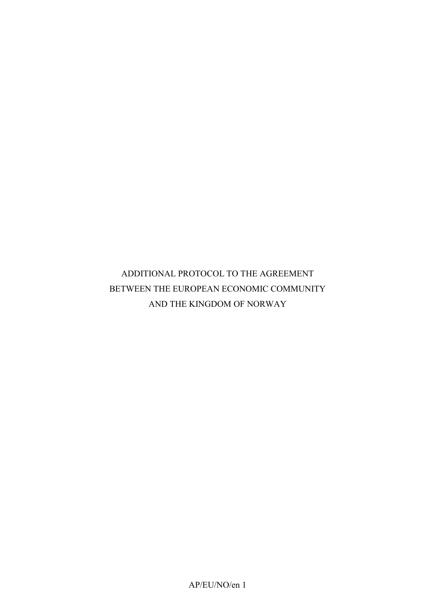ADDITIONAL PROTOCOL TO THE AGREEMENT BETWEEN THE EUROPEAN ECONOMIC COMMUNITY AND THE KINGDOM OF NORWAY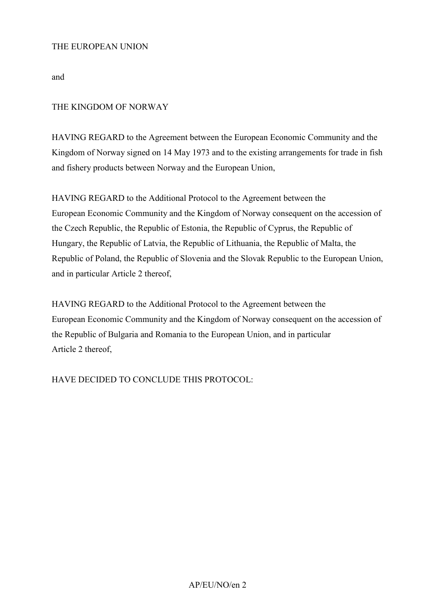### THE EUROPEAN UNION

and

### THE KINGDOM OF NORWAY

HAVING REGARD to the Agreement between the European Economic Community and the Kingdom of Norway signed on 14 May 1973 and to the existing arrangements for trade in fish and fishery products between Norway and the European Union,

HAVING REGARD to the Additional Protocol to the Agreement between the European Economic Community and the Kingdom of Norway consequent on the accession of the Czech Republic, the Republic of Estonia, the Republic of Cyprus, the Republic of Hungary, the Republic of Latvia, the Republic of Lithuania, the Republic of Malta, the Republic of Poland, the Republic of Slovenia and the Slovak Republic to the European Union, and in particular Article 2 thereof,

HAVING REGARD to the Additional Protocol to the Agreement between the European Economic Community and the Kingdom of Norway consequent on the accession of the Republic of Bulgaria and Romania to the European Union, and in particular Article 2 thereof,

HAVE DECIDED TO CONCLUDE THIS PROTOCOL: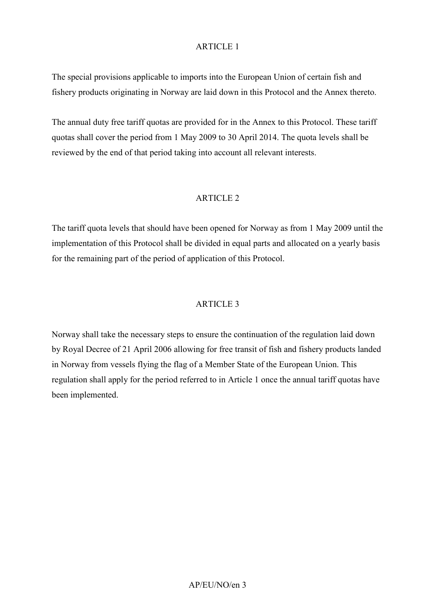The special provisions applicable to imports into the European Union of certain fish and fishery products originating in Norway are laid down in this Protocol and the Annex thereto.

The annual duty free tariff quotas are provided for in the Annex to this Protocol. These tariff quotas shall cover the period from 1 May 2009 to 30 April 2014. The quota levels shall be reviewed by the end of that period taking into account all relevant interests.

### ARTICLE 2

The tariff quota levels that should have been opened for Norway as from 1 May 2009 until the implementation of this Protocol shall be divided in equal parts and allocated on a yearly basis for the remaining part of the period of application of this Protocol.

### ARTICLE 3

Norway shall take the necessary steps to ensure the continuation of the regulation laid down by Royal Decree of 21 April 2006 allowing for free transit of fish and fishery products landed in Norway from vessels flying the flag of a Member State of the European Union. This regulation shall apply for the period referred to in Article 1 once the annual tariff quotas have been implemented.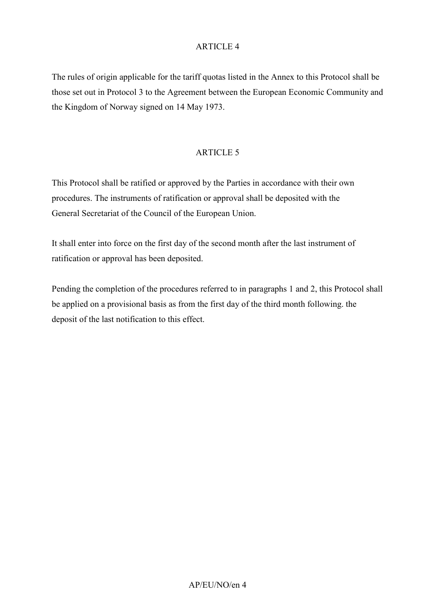The rules of origin applicable for the tariff quotas listed in the Annex to this Protocol shall be those set out in Protocol 3 to the Agreement between the European Economic Community and the Kingdom of Norway signed on 14 May 1973.

## ARTICLE 5

This Protocol shall be ratified or approved by the Parties in accordance with their own procedures. The instruments of ratification or approval shall be deposited with the General Secretariat of the Council of the European Union.

It shall enter into force on the first day of the second month after the last instrument of ratification or approval has been deposited.

Pending the completion of the procedures referred to in paragraphs 1 and 2, this Protocol shall be applied on a provisional basis as from the first day of the third month following. the deposit of the last notification to this effect.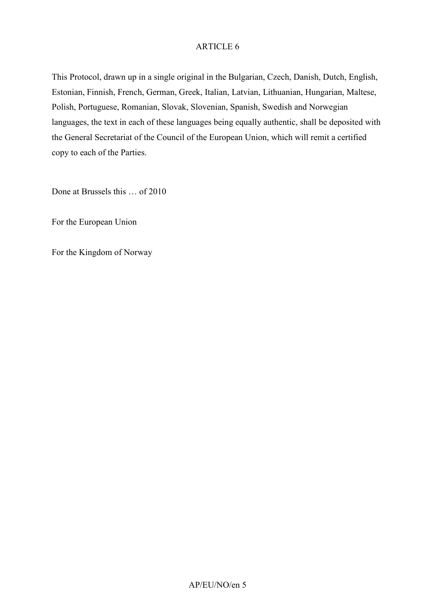This Protocol, drawn up in a single original in the Bulgarian, Czech, Danish, Dutch, English, Estonian, Finnish, French, German, Greek, Italian, Latvian, Lithuanian, Hungarian, Maltese, Polish, Portuguese, Romanian, Slovak, Slovenian, Spanish, Swedish and Norwegian languages, the text in each of these languages being equally authentic, shall be deposited with the General Secretariat of the Council of the European Union, which will remit a certified copy to each of the Parties.

Done at Brussels this … of 2010

For the European Union

For the Kingdom of Norway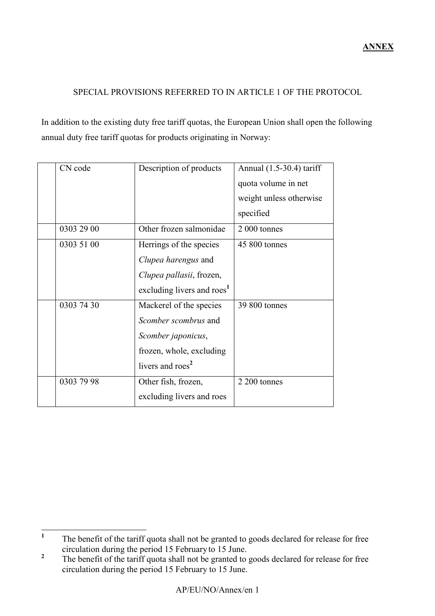# SPECIAL PROVISIONS REFERRED TO IN ARTICLE 1 OF THE PROTOCOL

In addition to the existing duty free tariff quotas, the European Union shall open the following annual duty free tariff quotas for products originating in Norway:

| CN code    | Description of products                | Annual (1.5-30.4) tariff |
|------------|----------------------------------------|--------------------------|
|            |                                        | quota volume in net      |
|            |                                        | weight unless otherwise  |
|            |                                        | specified                |
| 0303 29 00 | Other frozen salmonidae                | 2 000 tonnes             |
| 0303 51 00 | Herrings of the species                | 45 800 tonnes            |
|            | Clupea harengus and                    |                          |
|            | Clupea pallasii, frozen,               |                          |
|            | excluding livers and roes <sup>1</sup> |                          |
| 0303 74 30 | Mackerel of the species                | 39 800 tonnes            |
|            | Scomber scombrus and                   |                          |
|            | Scomber japonicus,                     |                          |
|            | frozen, whole, excluding               |                          |
|            | livers and roes <sup>2</sup>           |                          |
| 0303 79 98 | Other fish, frozen,                    | 2 200 tonnes             |
|            | excluding livers and roes              |                          |

 $\frac{1}{1}$  The benefit of the tariff quota shall not be granted to goods declared for release for free circulation during the period 15 February to 15 June.

<sup>2</sup> The benefit of the tariff quota shall not be granted to goods declared for release for free circulation during the period 15 February to 15 June.